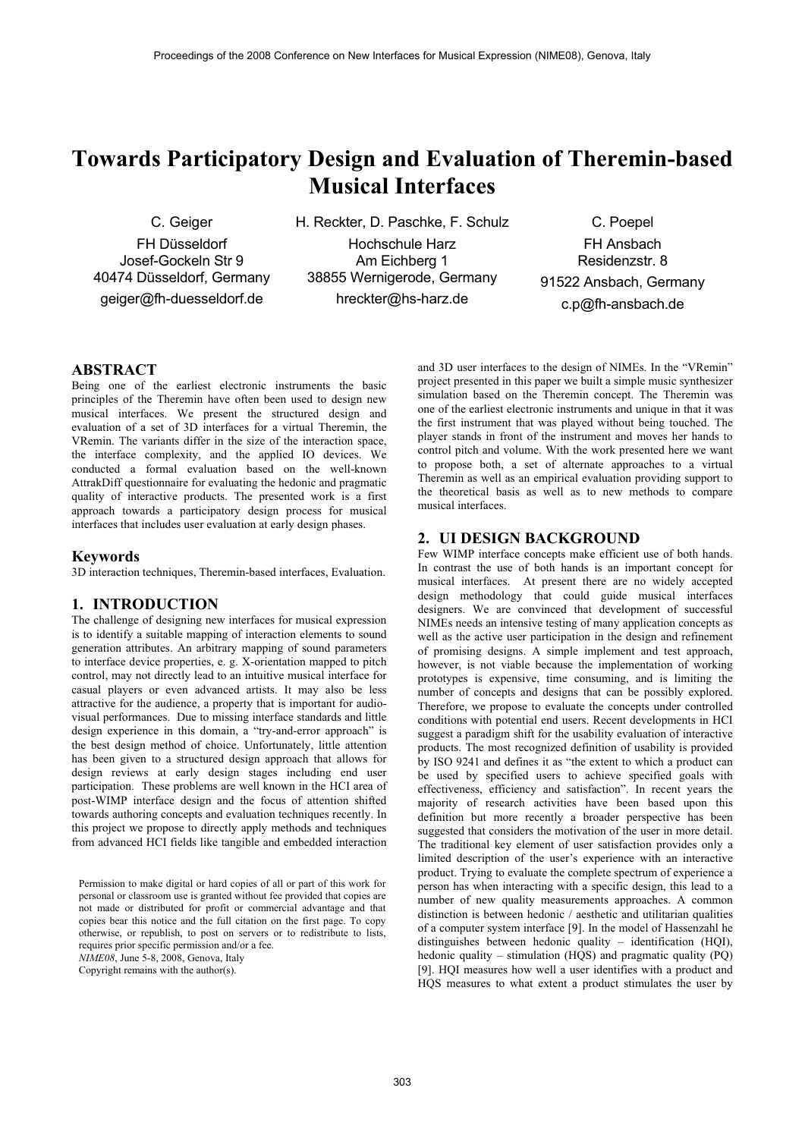# **Towards Participatory Design and Evaluation of Theremin-based Musical Interfaces**

C. Geiger

FH Düsseldorf Josef-Gockeln Str 9 40474 Düsseldorf, Germany geiger@fh-duesseldorf.de

H. Reckter, D. Paschke, F. Schulz

Hochschule Harz Am Eichberg 1 38855 Wernigerode, Germany hreckter@hs-harz.de

C. Poepel FH Ansbach Residenzstr. 8 91522 Ansbach, Germany c.p@fh-ansbach.de

# **ABSTRACT**

Being one of the earliest electronic instruments the basic principles of the Theremin have often been used to design new musical interfaces. We present the structured design and evaluation of a set of 3D interfaces for a virtual Theremin, the VRemin. The variants differ in the size of the interaction space, the interface complexity, and the applied IO devices. We conducted a formal evaluation based on the well-known AttrakDiff questionnaire for evaluating the hedonic and pragmatic quality of interactive products. The presented work is a first approach towards a participatory design process for musical interfaces that includes user evaluation at early design phases.

# **Keywords**

3D interaction techniques, Theremin-based interfaces, Evaluation.

# **1. INTRODUCTION**

The challenge of designing new interfaces for musical expression is to identify a suitable mapping of interaction elements to sound generation attributes. An arbitrary mapping of sound parameters to interface device properties, e. g. X-orientation mapped to pitch control, may not directly lead to an intuitive musical interface for casual players or even advanced artists. It may also be less attractive for the audience, a property that is important for audiovisual performances. Due to missing interface standards and little design experience in this domain, a "try-and-error approach" is the best design method of choice. Unfortunately, little attention has been given to a structured design approach that allows for design reviews at early design stages including end user participation. These problems are well known in the HCI area of post-WIMP interface design and the focus of attention shifted towards authoring concepts and evaluation techniques recently. In this project we propose to directly apply methods and techniques from advanced HCI fields like tangible and embedded interaction

Permission to make digital or hard copies of all or part of this work for personal or classroom use is granted without fee provided that copies are not made or distributed for profit or commercial advantage and that copies bear this notice and the full citation on the first page. To copy otherwise, or republish, to post on servers or to redistribute to lists, requires prior specific permission and/or a fee.

*NIME08*, June 5-8, 2008, Genova, Italy

Copyright remains with the author(s).

and 3D user interfaces to the design of NIMEs. In the "VRemin" project presented in this paper we built a simple music synthesizer simulation based on the Theremin concept. The Theremin was one of the earliest electronic instruments and unique in that it was the first instrument that was played without being touched. The player stands in front of the instrument and moves her hands to control pitch and volume. With the work presented here we want to propose both, a set of alternate approaches to a virtual Theremin as well as an empirical evaluation providing support to the theoretical basis as well as to new methods to compare musical interfaces.

# **2. UI DESIGN BACKGROUND**

Few WIMP interface concepts make efficient use of both hands. In contrast the use of both hands is an important concept for musical interfaces. At present there are no widely accepted design methodology that could guide musical interfaces designers. We are convinced that development of successful NIMEs needs an intensive testing of many application concepts as well as the active user participation in the design and refinement of promising designs. A simple implement and test approach, however, is not viable because the implementation of working prototypes is expensive, time consuming, and is limiting the number of concepts and designs that can be possibly explored. Therefore, we propose to evaluate the concepts under controlled conditions with potential end users. Recent developments in HCI suggest a paradigm shift for the usability evaluation of interactive products. The most recognized definition of usability is provided by ISO 9241 and defines it as "the extent to which a product can be used by specified users to achieve specified goals with effectiveness, efficiency and satisfaction". In recent years the majority of research activities have been based upon this definition but more recently a broader perspective has been suggested that considers the motivation of the user in more detail. The traditional key element of user satisfaction provides only a limited description of the user's experience with an interactive product. Trying to evaluate the complete spectrum of experience a person has when interacting with a specific design, this lead to a number of new quality measurements approaches. A common distinction is between hedonic / aesthetic and utilitarian qualities of a computer system interface [9]. In the model of Hassenzahl he distinguishes between hedonic quality – identification (HQI), hedonic quality – stimulation (HOS) and pragmatic quality (PO) [9]. HQI measures how well a user identifies with a product and HQS measures to what extent a product stimulates the user by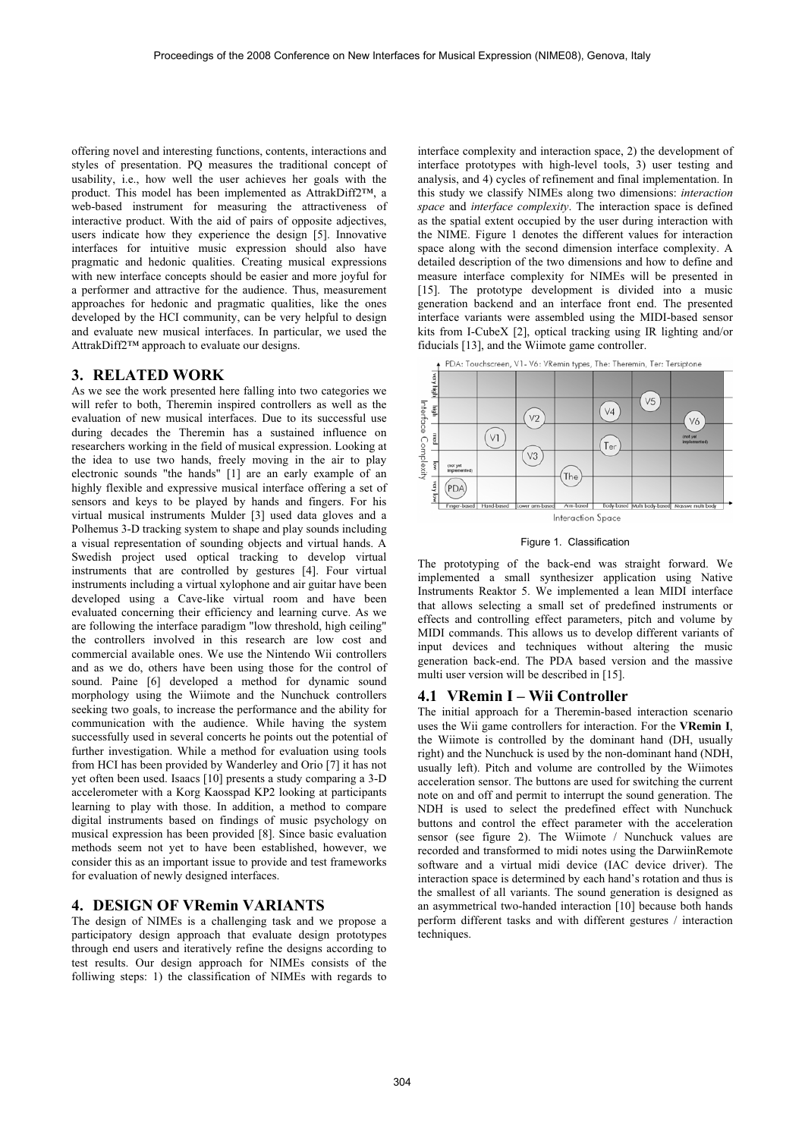offering novel and interesting functions, contents, interactions and styles of presentation. PQ measures the traditional concept of usability, i.e., how well the user achieves her goals with the product. This model has been implemented as AttrakDiff2™, a web-based instrument for measuring the attractiveness of interactive product. With the aid of pairs of opposite adjectives, users indicate how they experience the design [5]. Innovative interfaces for intuitive music expression should also have pragmatic and hedonic qualities. Creating musical expressions with new interface concepts should be easier and more joyful for a performer and attractive for the audience. Thus, measurement approaches for hedonic and pragmatic qualities, like the ones developed by the HCI community, can be very helpful to design and evaluate new musical interfaces. In particular, we used the AttrakDiff2™ approach to evaluate our designs.

# **3. RELATED WORK**

As we see the work presented here falling into two categories we will refer to both, Theremin inspired controllers as well as the evaluation of new musical interfaces. Due to its successful use during decades the Theremin has a sustained influence on researchers working in the field of musical expression. Looking at the idea to use two hands, freely moving in the air to play electronic sounds "the hands" [1] are an early example of an highly flexible and expressive musical interface offering a set of sensors and keys to be played by hands and fingers. For his virtual musical instruments Mulder [3] used data gloves and a Polhemus 3-D tracking system to shape and play sounds including a visual representation of sounding objects and virtual hands. A Swedish project used optical tracking to develop virtual instruments that are controlled by gestures [4]. Four virtual instruments including a virtual xylophone and air guitar have been developed using a Cave-like virtual room and have been evaluated concerning their efficiency and learning curve. As we are following the interface paradigm "low threshold, high ceiling" the controllers involved in this research are low cost and commercial available ones. We use the Nintendo Wii controllers and as we do, others have been using those for the control of sound. Paine [6] developed a method for dynamic sound morphology using the Wiimote and the Nunchuck controllers seeking two goals, to increase the performance and the ability for communication with the audience. While having the system successfully used in several concerts he points out the potential of further investigation. While a method for evaluation using tools from HCI has been provided by Wanderley and Orio [7] it has not yet often been used. Isaacs [10] presents a study comparing a 3-D accelerometer with a Korg Kaosspad KP2 looking at participants learning to play with those. In addition, a method to compare digital instruments based on findings of music psychology on musical expression has been provided [8]. Since basic evaluation methods seem not yet to have been established, however, we consider this as an important issue to provide and test frameworks for evaluation of newly designed interfaces.

## **4. DESIGN OF VRemin VARIANTS**

The design of NIMEs is a challenging task and we propose a participatory design approach that evaluate design prototypes through end users and iteratively refine the designs according to test results. Our design approach for NIMEs consists of the folliwing steps: 1) the classification of NIMEs with regards to

interface complexity and interaction space, 2) the development of interface prototypes with high-level tools, 3) user testing and analysis, and 4) cycles of refinement and final implementation. In this study we classify NIMEs along two dimensions: *interaction space* and *interface complexity*. The interaction space is defined as the spatial extent occupied by the user during interaction with the NIME. Figure 1 denotes the different values for interaction space along with the second dimension interface complexity. A detailed description of the two dimensions and how to define and measure interface complexity for NIMEs will be presented in [15]. The prototype development is divided into a music generation backend and an interface front end. The presented interface variants were assembled using the MIDI-based sensor kits from I-CubeX [2], optical tracking using IR lighting and/or fiducials [13], and the Wiimote game controller.





The prototyping of the back-end was straight forward. We implemented a small synthesizer application using Native Instruments Reaktor 5. We implemented a lean MIDI interface that allows selecting a small set of predefined instruments or effects and controlling effect parameters, pitch and volume by MIDI commands. This allows us to develop different variants of input devices and techniques without altering the music generation back-end. The PDA based version and the massive multi user version will be described in [15].

#### **4.1 VRemin I – Wii Controller**

The initial approach for a Theremin-based interaction scenario uses the Wii game controllers for interaction. For the **VRemin I**, the Wiimote is controlled by the dominant hand (DH, usually right) and the Nunchuck is used by the non-dominant hand (NDH, usually left). Pitch and volume are controlled by the Wiimotes acceleration sensor. The buttons are used for switching the current note on and off and permit to interrupt the sound generation. The NDH is used to select the predefined effect with Nunchuck buttons and control the effect parameter with the acceleration sensor (see figure 2). The Wiimote / Nunchuck values are recorded and transformed to midi notes using the DarwiinRemote software and a virtual midi device (IAC device driver). The interaction space is determined by each hand's rotation and thus is the smallest of all variants. The sound generation is designed as an asymmetrical two-handed interaction [10] because both hands perform different tasks and with different gestures / interaction techniques.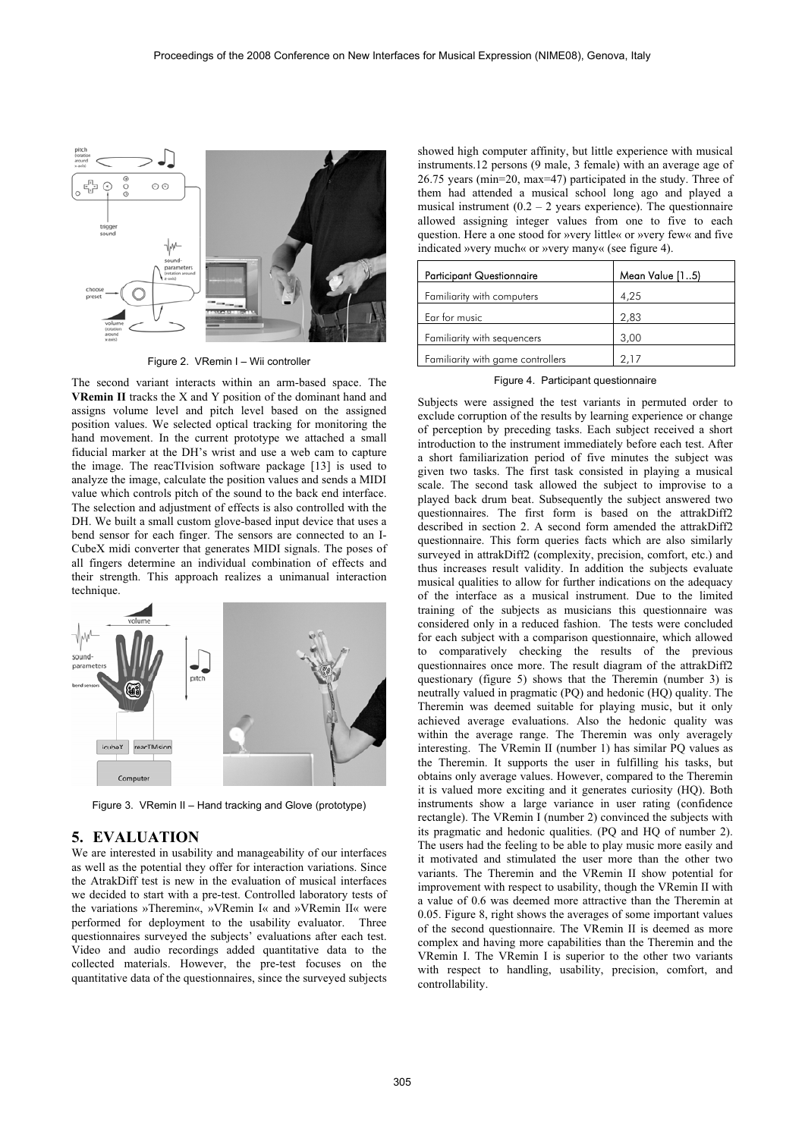

Figure 2. VRemin I – Wii controller

The second variant interacts within an arm-based space. The **VRemin II** tracks the X and Y position of the dominant hand and assigns volume level and pitch level based on the assigned position values. We selected optical tracking for monitoring the hand movement. In the current prototype we attached a small fiducial marker at the DH's wrist and use a web cam to capture the image. The reacTIvision software package [13] is used to analyze the image, calculate the position values and sends a MIDI value which controls pitch of the sound to the back end interface. The selection and adjustment of effects is also controlled with the DH. We built a small custom glove-based input device that uses a bend sensor for each finger. The sensors are connected to an I-CubeX midi converter that generates MIDI signals. The poses of all fingers determine an individual combination of effects and their strength. This approach realizes a unimanual interaction technique.



Figure 3. VRemin II – Hand tracking and Glove (prototype)

## **5. EVALUATION**

We are interested in usability and manageability of our interfaces as well as the potential they offer for interaction variations. Since the AtrakDiff test is new in the evaluation of musical interfaces we decided to start with a pre-test. Controlled laboratory tests of the variations »Theremin«, »VRemin I« and »VRemin II« were performed for deployment to the usability evaluator. Three questionnaires surveyed the subjects' evaluations after each test. Video and audio recordings added quantitative data to the collected materials. However, the pre-test focuses on the quantitative data of the questionnaires, since the surveyed subjects

showed high computer affinity, but little experience with musical instruments.12 persons (9 male, 3 female) with an average age of 26.75 years (min=20, max=47) participated in the study. Three of them had attended a musical school long ago and played a musical instrument  $(0.2 - 2$  years experience). The questionnaire allowed assigning integer values from one to five to each question. Here a one stood for »very little« or »very few« and five indicated »very much« or »very many« (see figure 4).

| <b>Participant Questionnaire</b>  | Mean Value [15) |
|-----------------------------------|-----------------|
| Familiarity with computers        | 4,25            |
| Ear for music                     | 2,83            |
| Familiarity with sequencers       | 3,00            |
| Familiarity with game controllers | 2.17            |

Figure 4. Participant questionnaire

Subjects were assigned the test variants in permuted order to exclude corruption of the results by learning experience or change of perception by preceding tasks. Each subject received a short introduction to the instrument immediately before each test. After a short familiarization period of five minutes the subject was given two tasks. The first task consisted in playing a musical scale. The second task allowed the subject to improvise to a played back drum beat. Subsequently the subject answered two questionnaires. The first form is based on the attrakDiff2 described in section 2. A second form amended the attrakDiff2 questionnaire. This form queries facts which are also similarly surveyed in attrakDiff2 (complexity, precision, comfort, etc.) and thus increases result validity. In addition the subjects evaluate musical qualities to allow for further indications on the adequacy of the interface as a musical instrument. Due to the limited training of the subjects as musicians this questionnaire was considered only in a reduced fashion. The tests were concluded for each subject with a comparison questionnaire, which allowed to comparatively checking the results of the previous questionnaires once more. The result diagram of the attrakDiff2 questionary (figure 5) shows that the Theremin (number 3) is neutrally valued in pragmatic (PQ) and hedonic (HQ) quality. The Theremin was deemed suitable for playing music, but it only achieved average evaluations. Also the hedonic quality was within the average range. The Theremin was only averagely interesting. The VRemin II (number 1) has similar PQ values as the Theremin. It supports the user in fulfilling his tasks, but obtains only average values. However, compared to the Theremin it is valued more exciting and it generates curiosity (HQ). Both instruments show a large variance in user rating (confidence rectangle). The VRemin I (number 2) convinced the subjects with its pragmatic and hedonic qualities. (PQ and HQ of number 2). The users had the feeling to be able to play music more easily and it motivated and stimulated the user more than the other two variants. The Theremin and the VRemin II show potential for improvement with respect to usability, though the VRemin II with a value of 0.6 was deemed more attractive than the Theremin at 0.05. Figure 8, right shows the averages of some important values of the second questionnaire. The VRemin II is deemed as more complex and having more capabilities than the Theremin and the VRemin I. The VRemin I is superior to the other two variants with respect to handling, usability, precision, comfort, and controllability.